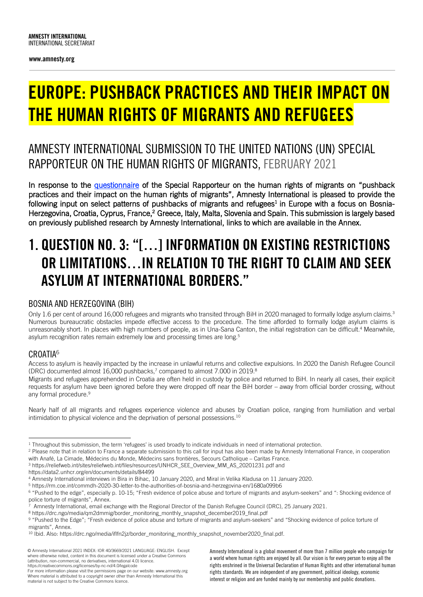www.amnesty.org

# EUROPE: PUSHBACK PRACTICES AND THEIR IMPACT ON THE HUMAN RIGHTS OF MIGRANTS AND REFUGEES

## AMNESTY INTERNATIONAL SUBMISSION TO THE UNITED NATIONS (UN) SPECIAL RAPPORTEUR ON THE HUMAN RIGHTS OF MIGRANTS, FEBRUARY 2021

In response to the questionnaire of the Special Rapporteur on the human rights of migrants on "pushback" practices and their impact on the human rights of migrants", Amnesty International is pleased to provide the following input on select patterns of pushbacks of migrants and refugees<sup>1</sup> in Europe with a focus on Bosnia-Herzegovina, Croatia, Cyprus, France,<sup>2</sup> Greece, Italy, Malta, Slovenia and Spain. This submission is largely based on previously published research by Amnesty International, links to which are available in the Annex.

## 1. QUESTION NO. 3: "[…] INFORMATION ON EXISTING RESTRICTIONS OR LIMITATIONS…IN RELATION TO THE RIGHT TO CLAIM AND SEEK ASYLUM AT INTERNATIONAL BORDERS."

### BOSNIA AND HERZEGOVINA (BIH)

Only 1.6 per cent of around 16,000 refugees and migrants who transited through BiH in 2020 managed to formally lodge asylum claims.<sup>3</sup> Numerous bureaucratic obstacles impede effective access to the procedure. The time afforded to formally lodge asylum claims is unreasonably short. In places with high numbers of people, as in Una-Sana Canton, the initial registration can be difficult.<sup>4</sup> Meanwhile, asylum recognition rates remain extremely low and processing times are long.<sup>5</sup>

### CROATIA<sup>6</sup>

Access to asylum is heavily impacted by the increase in unlawful returns and collective expulsions. In 2020 the Danish Refugee Council (DRC) documented almost 16,000 pushbacks,<sup>7</sup> compared to almost 7,000 in 2019.<sup>8</sup>

Migrants and refugees apprehended in Croatia are often held in custody by police and returned to BiH. In nearly all cases, their explicit requests for asylum have been ignored before they were dropped off near the BiH border – away from official border crossing, without any formal procedure.<sup>9</sup>

Nearly half of all migrants and refugees experience violence and abuses by Croatian police, ranging from humiliation and verbal intimidation to physical violence and the deprivation of personal possessions.<sup>10</sup>

with Anafé, La Cimade, Médecins du Monde, Médecins sans frontières, Secours Catholique – Caritas France.<br><sup>3</sup> https://reliefweb.int/sites/reliefweb.int/files/resources/UNHCR\_SEE\_Overview\_MM\_AS\_20201231.pdf and

Amnesty International is a global movement of more than 7 million people who campaign for a world where human rights are enjoyed by all. Our vision is for every person to enjoy all the rights enshrined in the Universal Declaration of Human Rights and other international human rights standards. We are independent of any government, political ideology, economic interest or religion and are funded mainly by our membership and public donations.

<sup>&</sup>lt;sup>1</sup> Throughout this submission, the term 'refugees' is used broadly to indicate individuals in need of international protection.<br><sup>2</sup> Please note that in relation to France a separate submission to this call for input has a

https://data2.unhcr.org/en/documents/details/84499

<sup>4</sup> Amnesty International interviews in Bira in Bihac, 10 January 2020, and Miral in Velika Kladusa on 11 January 2020.

<sup>&</sup>lt;sup>6</sup> "Pushed to the edge", especially p. 10-15; "Fresh evidence of police abuse and torture of migrants and asylum-seekers" and ": Shocking evidence of police torture of migrants", Annex.

Amnesty International, email exchange with the Regional Director of the Danish Refugee Council (DRC), 25 January 2021.

<sup>8</sup> https://drc.ngo/media/qm2dmmig/border\_monitoring\_monthly\_snapshot\_december2019\_final.pdf

<sup>9 &</sup>quot;Pushed to the Edge"; "Fresh evidence of police abuse and torture of migrants and asylum-seekers" and "Shocking evidence of police torture of migrants", Annex.<br><sup>10</sup> Ibid. Also: https://drc.ngo/media/iflfn2jz/border\_monitoring\_monthly\_snapshot\_november2020\_final.pdf.

<sup>©</sup> Amnesty International 2021 INDEX: IOR 40/3669/2021 LANGUAGE: ENGLISH. Except where otherwise noted, content in this document is licensed under a Creative Commons (attribution, non-commercial, no derivatives, international 4.0) licence. https://creativecommons.org/licenses/by-nc-nd/4.0/legalcode

For more information please visit the permissions page on our website: www.amnesty.org Where material is attributed to a copyright owner other than Amnesty International this material is not subject to the Creative Commons licence.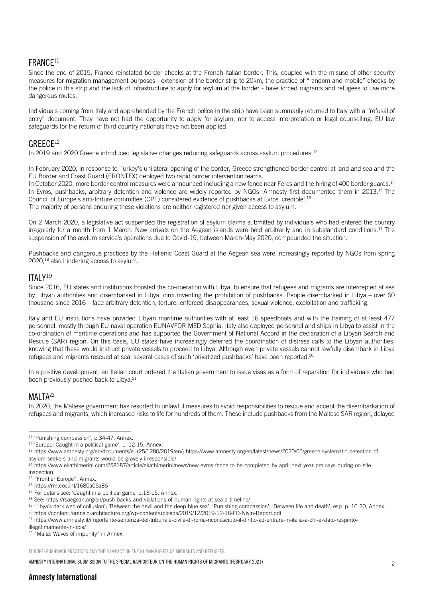### FRANCE11

Since the end of 2015, France reinstated border checks at the French-Italian border. This, coupled with the misuse of other security measures for migration management purposes - extension of the border strip to 20km, the practice of "random and mobile" checks by the police in this strip and the lack of infrastructure to apply for asylum at the border - have forced migrants and refugees to use more dangerous routes.

Individuals coming from Italy and apprehended by the French police in the strip have been summarily returned to Italy with a "refusal of entry" document. They have not had the opportunity to apply for asylum, nor to access interpretation or legal counselling. EU law safeguards for the return of third country nationals have not been applied.

#### GRFFC<sub>F12</sub>

In 2019 and 2020 Greece introduced legislative changes reducing safeguards across asylum procedures.<sup>13</sup>

In February 2020, in response to Turkey's unilateral opening of the border, Greece strengthened border control at land and sea and the EU Border and Coast Guard (FRONTEX) deployed two rapid border intervention teams.

In October 2020, more border control measures were announced including a new fence near Feres and the hiring of 400 border guards.<sup>14</sup> In Evros, pushbacks, arbitrary detention and violence are widely reported by NGOs. Amnesty first documented them in 2013.<sup>15</sup> The Council of Europe's anti-torture committee (CPT) considered evidence of pushbacks at Evros 'credible'.16 The majority of persons enduring these violations are neither registered nor given access to asylum.

On 2 March 2020, a legislative act suspended the registration of asylum claims submitted by individuals who had entered the country irregularly for a month from 1 March. New arrivals on the Aegean islands were held arbitrarily and in substandard conditions.<sup>17</sup> The suspension of the asylum service's operations due to Covid-19, between March-May 2020, compounded the situation.

Pushbacks and dangerous practices by the Hellenic Coast Guard at the Aegean sea were increasingly reported by NGOs from spring 2020,18 also hindering access to asylum.

ITALY<sup>19</sup><br>Since 2016, EU states and institutions boosted the co-operation with Libya, to ensure that refugees and migrants are intercepted at sea by Libyan authorities and disembarked in Libya, circumventing the prohibition of pushbacks. People disembarked in Libya – over 60 thousand since 2016 – face arbitrary detention, torture, enforced disappearances, sexual violence, exploitation and trafficking.

Italy and EU institutions have provided Libyan maritime authorities with at least 16 speedboats and with the training of at least 477 personnel, mostly through EU naval operation EUNAVFOR MED Sophia. Italy also deployed personnel and ships in Libya to assist in the co-ordination of maritime operations and has supported the Government of National Accord in the declaration of a Libyan Search and Rescue (SAR) region. On this basis, EU states have increasingly deferred the coordination of distress calls to the Libyan authorities, knowing that these would instruct private vessels to proceed to Libya. Although even private vessels cannot lawfully disembark in Libya refugees and migrants rescued at sea, several cases of such 'privatized pushbacks' have been reported.<sup>20</sup>

In a positive development, an Italian court ordered the Italian government to issue visas as a form of reparation for individuals who had been previously pushed back to Libya.<sup>21</sup>

#### MALTA<sup>22</sup>

In 2020, the Maltese government has resorted to unlawful measures to avoid responsibilities to rescue and accept the disembarkation of refugees and migrants, which increased risks to life for hundreds of them. These include pushbacks from the Maltese SAR region, delayed

illegittimamente-in-libia/

<sup>22</sup> "Malta: Waves of impunity" in Annex.

EUROPE: PUSHBACK PRACTICES AND THEIR IMPACT ON THE HUMAN RIGHTS OF MIGRANTS AND REFUGEES

<sup>&</sup>lt;sup>11</sup> 'Punishing compassion', p.34-47, Annex.<br><sup>12</sup> 'Europe: Caught in a political game', p. 12-15, Annex.<br><sup>13</sup> https://www.amnesty.org/en/documents/eur25/1280/2019/en/; https://www.amnesty.org/en/latest/news/2020/05/greece-

asylum-seekers-and-migrants-would-be-gravely-irresponsible/

<sup>&</sup>lt;sup>14</sup> https://www.ekathimerini.com/258187/article/ekathimerini/news/new-evros-fence-to-be-completed-by-april-next-year-pm-says-during-on-site-<br>inspection.

<sup>&</sup>lt;sup>15</sup> "Frontier Europe", Annex.<br><sup>16</sup> https://rm.coe.int/1680a06a86<br><sup>17</sup> For details see: 'Caught in a political game' p.13-15, Annex.

<sup>&</sup>lt;sup>18</sup> See: https://rsaegean.org/en/push-backs-and-violations-of-human-rights-at-sea-a-timeline/.<br><sup>19</sup> 'Libya's dark web of collusion'; 'Between the devil and the deep blue sea'; 'Punishing compassion'; 'Between life and dea

<sup>21</sup> https://www.amnesty.it/importante-sentenza-del-tribunale-civile-di-roma-riconosciuto-il-diritto-ad-entrare-in-italia-a-chi-e-stato-respinto-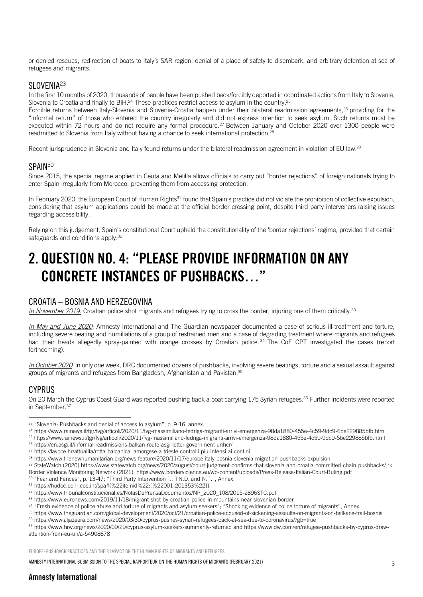or denied rescues, redirection of boats to Italy's SAR region, denial of a place of safety to disembark, and arbitrary detention at sea of refugees and migrants.

SLOVENIA<sup>23</sup><br>In the first 10 months of 2020, thousands of people have been pushed back/forcibly deported in coordinated actions from Italy to Slovenia, Slovenia to Croatia and finally to BiH.<sup>24</sup> These practices restrict access to asylum in the country.<sup>25</sup>

Forcible returns between Italy-Slovenia and Slovenia-Croatia happen under their bilateral readmission agreements,<sup>26</sup> providing for the "informal return" of those who entered the country irregularly and did not express intention to seek asylum. Such returns must be executed within 72 hours and do not require any formal procedure.<sup>27</sup> Between January and October 2020 over 1300 people were readmitted to Slovenia from Italy without having a chance to seek international protection.<sup>28</sup>

Recent jurisprudence in Slovenia and Italy found returns under the bilateral readmission agreement in violation of EU law.<sup>29</sup>

SPAIN<sup>30</sup><br>Since 2015, the special regime applied in Ceuta and Melilla allows officials to carry out "border rejections" of foreign nationals trying to enter Spain irregularly from Morocco, preventing them from accessing protection.

In February 2020, the European Court of Human Rights<sup>31</sup> found that Spain's practice did not violate the prohibition of collective expulsion, considering that asylum applications could be made at the official border crossing point, despite third party interveners raising issues regarding accessibility.

Relying on this judgement, Spain's constitutional Court upheld the constitutionality of the 'border rejections' regime, provided that certain safeguards and conditions apply.<sup>32</sup>

## 2. QUESTION NO. 4: "PLEASE PROVIDE INFORMATION ON ANY CONCRETE INSTANCES OF PUSHBACKS "

#### CROATIA – BOSNIA AND HERZEGOVINA

*In November 2019:* Croatian police shot migrants and refugees trying to cross the border, injuring one of them critically.<sup>33</sup>

*In May and June 2020*: Amnesty International and The Guardian newspaper documented a case of serious ill-treatment and torture, including severe beating and humiliations of a group of restrained men and a case of degrading treatment where migrants and refugees had their heads allegedly spray-painted with orange crosses by Croatian police.<sup>34</sup> The CoE CPT investigated the cases (report forthcoming).

*In October 2020*: in only one week, DRC documented dozens of pushbacks, involving severe beatings, torture and a sexual assault against groups of migrants and refugees from Bangladesh, Afghanistan and Pakistan.35

#### CYPRUS

On 20 March the Cyprus Coast Guard was reported pushing back a boat carrying 175 Syrian refugees.<sup>36</sup> Further incidents were reported in September.<sup>37</sup>

<sup>30</sup> "Fear and Fences", p. 13-47; "Third Party Intervention [...] N.D. and N.T.", Annex.

<sup>37</sup> https://www.hrw.org/news/2020/09/29/cyprus-asylum-seekers-summarily-returned and https://www.dw.com/en/refugee-pushbacks-by-cyprus-drawattention-from-eu-un/a-54908678

EUROPE: PUSHBACK PRACTICES AND THEIR IMPACT ON THE HUMAN RIGHTS OF MIGRANTS AND REFUGEES

AMNESTY INTERNATIONAL SUBMISSION TO THE SPECIAL RAPPORTEUR ON THE HUMAN RIGHTS OF MIGRANTS (FEBRUARY 2021)

### Amnesty International

<sup>&</sup>lt;sup>23</sup> "Slovenia: Pushbacks and denial of access to asylum", p. 9-16, annex.<br><sup>24</sup> https://www.rainews.it/tgr/fvg/articoli/2020/11/fvg-massimiliano-fedriga-migranti-arrivi-emergenza-98da1880-455e-4c59-9dc9-6be229885bfb.html <sup>25</sup> https://www.rainews.it/tgr/fvg/articoli/2020/11/fvg-massimiliano-fedriga-migranti-arrivi-emergenza-98da1880-455e-4c59-9dc9-6be229885bfb.html

<sup>26</sup> https://en.asgi.it/informal-readmissions-balkan-route-asgi-letter-government-unhcr/

<sup>27</sup> https://lavoce.hr/attualita/rotta-balcanica-lamorgese-a-trieste-controlli-piu-intensi-ai-confini

<sup>28</sup> https://www.thenewhumanitarian.org/news-feature/2020/11/17/europe-italy-bosnia-slovenia-migration-pushbacks-expulsion

<sup>29</sup> StateWatch (2020) https://www.statewatch.org/news/2020/august/court-judgment-confirms-that-slovenia-and-croatia-committed-chain-pushbacks/,rk,

Border Violence Monitoring Network (2021), https://www.borderviolence.eu/wp-content/uploads/Press-Release-Italian-Court-Ruling.pdf

<sup>31</sup> https://hudoc.echr.coe.int/spa#{%22itemid%22:[%22001-201353%22]}. 32 https://www.tribunalconstitucional.es/NotasDePrensaDocumentos/NP\_2020\_108/2015-2896STC.pdf

<sup>33</sup> https://www.euronews.com/2019/11/18/migrant-shot-by-croatian-police-in-mountains-near-slovenian-border<br><sup>34</sup> "Fresh evidence of police abuse and torture of migrants and asylum-seekers"; "Shocking evidence of police tortu

<sup>35</sup> https://www.theguardian.com/global-development/2020/oct/21/croatian-police-accused-of-sickening-assaults-on-migrants-on-balkans-trail-bosnia <sup>36</sup> https://www.aljazeera.com/news/2020/03/30/cyprus-pushes-syrian-refugees-back-at-sea-due-to-coronavirus/?gb=true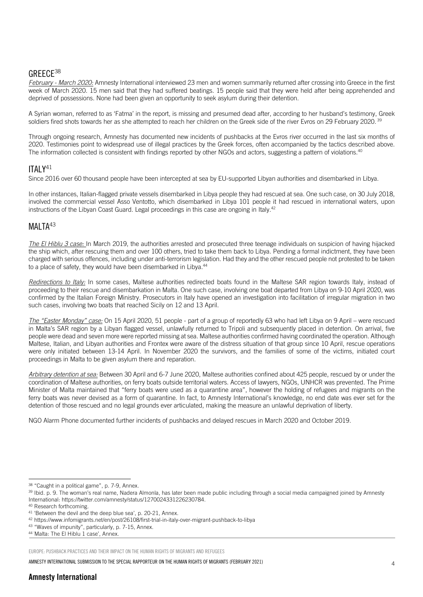#### GREECE38

*February - March 2020:* Amnesty International interviewed 23 men and women summarily returned after crossing into Greece in the first week of March 2020. 15 men said that they had suffered beatings. 15 people said that they were held after being apprehended and deprived of possessions. None had been given an opportunity to seek asylum during their detention.

A Syrian woman, referred to as 'Fatma' in the report, is missing and presumed dead after, according to her husband's testimony, Greek soldiers fired shots towards her as she attempted to reach her children on the Greek side of the river Evros on 29 February 2020. 39

Through ongoing research, Amnesty has documented new incidents of pushbacks at the Evros river occurred in the last six months of 2020. Testimonies point to widespread use of illegal practices by the Greek forces, often accompanied by the tactics described above. The information collected is consistent with findings reported by other NGOs and actors, suggesting a pattern of violations.40

ITALY<sup>41</sup><br>Since 2016 over 60 thousand people have been intercepted at sea by EU-supported Libyan authorities and disembarked in Libya.

In other instances, Italian-flagged private vessels disembarked in Libya people they had rescued at sea. One such case, on 30 July 2018, involved the commercial vessel Asso Ventotto, which disembarked in Libya 101 people it had rescued in international waters, upon instructions of the Libyan Coast Guard. Legal proceedings in this case are ongoing in Italy.<sup>42</sup>

### MALTA<sup>43</sup>

*The El Hiblu 3 case:* In March 2019, the authorities arrested and prosecuted three teenage individuals on suspicion of having hijacked the ship which, after rescuing them and over 100 others, tried to take them back to Libya. Pending a formal indictment, they have been charged with serious offences, including under anti-terrorism legislation. Had they and the other rescued people not protested to be taken to a place of safety, they would have been disembarked in Libya.<sup>44</sup>

*Redirections to Italy:* In some cases, Maltese authorities redirected boats found in the Maltese SAR region towards Italy, instead of proceeding to their rescue and disembarkation in Malta. One such case, involving one boat departed from Libya on 9-10 April 2020, was confirmed by the Italian Foreign Ministry. Prosecutors in Italy have opened an investigation into facilitation of irregular migration in two such cases, involving two boats that reached Sicily on 12 and 13 April.

*The "Easter Monday" case:* On 15 April 2020, 51 people - part of a group of reportedly 63 who had left Libya on 9 April – were rescued in Malta's SAR region by a Libyan flagged vessel, unlawfully returned to Tripoli and subsequently placed in detention. On arrival, five people were dead and seven more were reported missing at sea. Maltese authorities confirmed having coordinated the operation. Although Maltese, Italian, and Libyan authorities and Frontex were aware of the distress situation of that group since 10 April, rescue operations were only initiated between 13-14 April. In November 2020 the survivors, and the families of some of the victims, initiated court proceedings in Malta to be given asylum there and reparation.

*Arbitrary detention at sea:* Between 30 April and 6-7 June 2020, Maltese authorities confined about 425 people, rescued by or under the coordination of Maltese authorities, on ferry boats outside territorial waters. Access of lawyers, NGOs, UNHCR was prevented. The Prime Minister of Malta maintained that "ferry boats were used as a quarantine area", however the holding of refugees and migrants on the ferry boats was never devised as a form of quarantine. In fact, to Amnesty International's knowledge, no end date was ever set for the detention of those rescued and no legal grounds ever articulated, making the measure an unlawful deprivation of liberty.

NGO Alarm Phone documented further incidents of pushbacks and delayed rescues in March 2020 and October 2019.

EUROPE: PUSHBACK PRACTICES AND THEIR IMPACT ON THE HUMAN RIGHTS OF MIGRANTS AND REFUGEES

<sup>38 &</sup>quot;Caught in a political game", p. 7-9, Annex.

<sup>&</sup>lt;sup>39</sup> Ibid. p. 9. The woman's real name, Nadera Almonla, has later been made public including through a social media campaigned joined by Amnesty International: https://twitter.com/amnesty/status/1270024331226230784.<br><sup>40</sup> Research forthcoming.<br><sup>41</sup> 'Between the devil and the deep blue sea', p. 20-21, Annex.

<sup>42</sup> https://www.infomigrants.net/en/post/26108/first-trial-in-italy-over-migrant-pushback-to-libya

<sup>43</sup> "Waves of impunity", particularly, p. 7-15, Annex.

<sup>44</sup> ' Malta: The El Hiblu 1 case', Annex.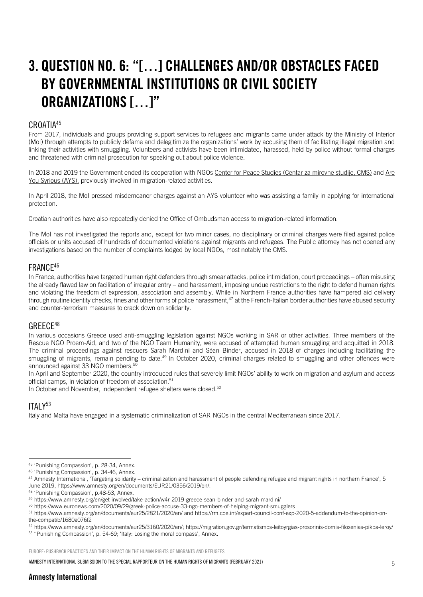## 3. QUESTION NO. 6: "[…] CHALLENGES AND/OR OBSTACLES FACED BY GOVERNMENTAL INSTITUTIONS OR CIVIL SOCIETY ORGANIZATIONS […]"

#### CROATIA45

From 2017, individuals and groups providing support services to refugees and migrants came under attack by the Ministry of Interior (MoI) through attempts to publicly defame and delegitimize the organizations' work by accusing them of facilitating illegal migration and linking their activities with smuggling. Volunteers and activists have been intimidated, harassed, held by police without formal charges and threatened with criminal prosecution for speaking out about police violence.

In 2018 and 2019 the Government ended its cooperation with NGOs Center for Peace Studies (Centar za mirovne studije, CMS) and Are You Syrious (AYS), previously involved in migration-related activities.

In April 2018, the MoI pressed misdemeanor charges against an AYS volunteer who was assisting a family in applying for international protection.

Croatian authorities have also repeatedly denied the Office of Ombudsman access to migration-related information.

The MoI has not investigated the reports and, except for two minor cases, no disciplinary or criminal charges were filed against police officials or units accused of hundreds of documented violations against migrants and refugees. The Public attorney has not opened any investigations based on the number of complaints lodged by local NGOs, most notably the CMS.

### FRANCE46

In France, authorities have targeted human right defenders through smear attacks, police intimidation, court proceedings – often misusing the already flawed law on facilitation of irregular entry – and harassment, imposing undue restrictions to the right to defend human rights and violating the freedom of expression, association and assembly. While in Northern France authorities have hampered aid delivery through routine identity checks, fines and other forms of police harassment,<sup>47</sup> at the French-Italian border authorities have abused security and counter-terrorism measures to crack down on solidarity.

### GREECE48

In various occasions Greece used anti-smuggling legislation against NGOs working in SAR or other activities. Three members of the Rescue NGO Proem-Aid, and two of the NGO Team Humanity, were accused of attempted human smuggling and acquitted in 2018. The criminal proceedings against rescuers Sarah Mardini and Séan Binder, accused in 2018 of charges including facilitating the smuggling of migrants, remain pending to date.<sup>49</sup> In October 2020, criminal charges related to smuggling and other offences were announced against 33 NGO members.<sup>50</sup>

In April and September 2020, the country introduced rules that severely limit NGOs' ability to work on migration and asylum and access official camps, in violation of freedom of association.<sup>51</sup>

In October and November, independent refugee shelters were closed.<sup>52</sup>

### ITAI Y<sup>53</sup>

Italy and Malta have engaged in a systematic criminalization of SAR NGOs in the central Mediterranean since 2017.

EUROPE: PUSHBACK PRACTICES AND THEIR IMPACT ON THE HUMAN RIGHTS OF MIGRANTS AND REFUGEES

<sup>&</sup>lt;sup>45</sup> 'Punishing Compassion', p. 28-34, Annex.<br><sup>46</sup> 'Punishing Compassion', p. 34-46, Annex.<br><sup>47</sup> Amnesty International, 'Targeting solidarity – criminalization and harassment of people defending refugee and migrant rights June 2019, https://www.amnesty.org/en/documents/EUR21/0356/2019/en/.<br><sup>48</sup> 'Punishing Compassion', p.48-53, Annex.<br><sup>49</sup> https://www.amnesty.org/en/get-involved/take-action/w4r-2019-greece-sean-binder-and-sarah-mardini/

<sup>50</sup> https://www.euronews.com/2020/09/29/greek-police-accuse-33-ngo-members-of-helping-migrant-smugglers

<sup>51</sup> https://www.amnesty.org/en/documents/eur25/2821/2020/en/ and https://rm.coe.int/expert-council-conf-exp-2020-5-addendum-to-the-opinion-onthe-compatib/1680a076f2<br>52 https://www.amnesty.org/en/documents/eur25/3160/2020/en/; https://migration.gov.gr/termatismos-leitoyrgias-prosorinis-domis-filoxenias-pikpa-leroy/

<sup>53 &</sup>quot;Punishing Compassion', p. 54-69; 'Italy: Losing the moral compass', Annex.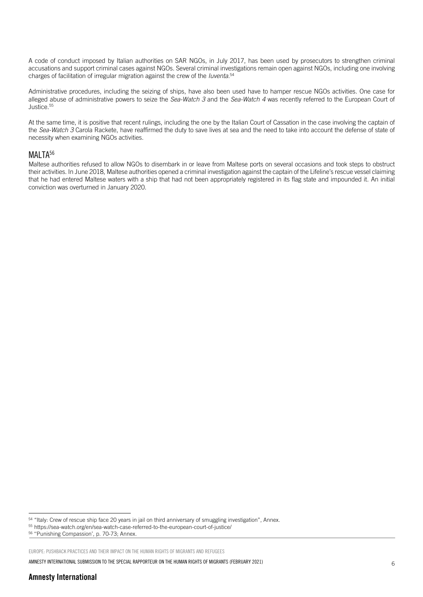A code of conduct imposed by Italian authorities on SAR NGOs, in July 2017, has been used by prosecutors to strengthen criminal accusations and support criminal cases against NGOs. Several criminal investigations remain open against NGOs, including one involving charges of facilitation of irregular migration against the crew of the *Iuventa*. 54

Administrative procedures, including the seizing of ships, have also been used have to hamper rescue NGOs activities. One case for alleged abuse of administrative powers to seize the *Sea-Watch 3* and the *Sea-Watch 4* was recently referred to the European Court of  $\frac{5}{5}$ 

At the same time, it is positive that recent rulings, including the one by the Italian Court of Cassation in the case involving the captain of the *Sea-Watch 3* Carola Rackete, have reaffirmed the duty to save lives at sea and the need to take into account the defense of state of necessity when examining NGOs activities.

### MALTA<sup>56</sup>

Maltese authorities refused to allow NGOs to disembark in or leave from Maltese ports on several occasions and took steps to obstruct their activities. In June 2018, Maltese authorities opened a criminal investigation against the captain of the Lifeline's rescue vessel claiming that he had entered Maltese waters with a ship that had not been appropriately registered in its flag state and impounded it. An initial conviction was overturned in January 2020.

<sup>54 &</sup>quot;Italy: Crew of rescue ship face 20 years in jail on third anniversary of smuggling investigation", Annex.<br>55 https://sea-watch.org/en/sea-watch-case-referred-to-the-european-court-of-justice/

<sup>56</sup> ''Punishing Compassion', p. 70-73; Annex.

EUROPE: PUSHBACK PRACTICES AND THEIR IMPACT ON THE HUMAN RIGHTS OF MIGRANTS AND REFUGEES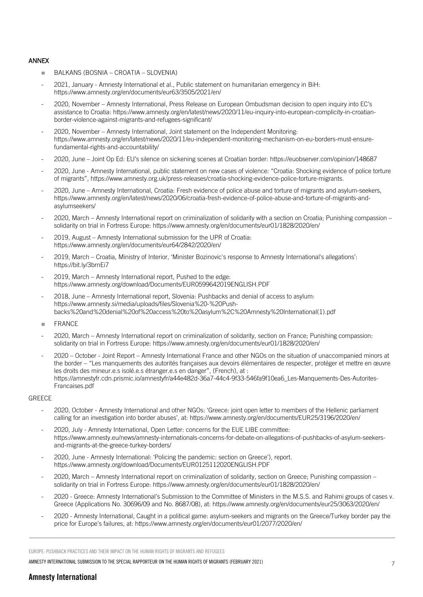#### ANNEX

- n BALKANS (BOSNIA CROATIA SLOVENIA)
- 2021, January Amnesty International et al., Public statement on humanitarian emergency in BiH: https://www.amnesty.org/en/documents/eur63/3505/2021/en/
- 2020, November Amnesty International, Press Release on European Ombudsman decision to open inquiry into EC's assistance to Croatia: https://www.amnesty.org/en/latest/news/2020/11/eu-inquiry-into-european-complicity-in-croatianborder-violence-against-migrants-and-refugees-significant/
- 2020, November Amnesty International, Joint statement on the Independent Monitoring: https://www.amnesty.org/en/latest/news/2020/11/eu-independent-monitoring-mechanism-on-eu-borders-must-ensurefundamental-rights-and-accountability/
- 2020, June Joint Op Ed: EU's silence on sickening scenes at Croatian border: https://euobserver.com/opinion/148687
- 2020, June Amnesty International, public statement on new cases of violence: "Croatia: Shocking evidence of police torture of migrants", https://www.amnesty.org.uk/press-releases/croatia-shocking-evidence-police-torture-migrants.
- 2020, June Amnesty International, Croatia: Fresh evidence of police abuse and torture of migrants and asylum-seekers, https://www.amnesty.org/en/latest/news/2020/06/croatia-fresh-evidence-of-police-abuse-and-torture-of-migrants-andasylumseekers/
- 2020, March Amnesty International report on criminalization of solidarity with a section on Croatia; Punishing compassion solidarity on trial in Fortress Europe: https://www.amnesty.org/en/documents/eur01/1828/2020/en/
- 2019, August Amnesty International submission for the UPR of Croatia: https://www.amnesty.org/en/documents/eur64/2842/2020/en/
- 2019, March Croatia, Ministry of Interior, 'Minister Bozinovic's response to Amnesty International's allegations': https://bit.ly/3brnEi7
- 2019, March Amnesty International report, Pushed to the edge: https://www.amnesty.org/download/Documents/EUR0599642019ENGLISH.PDF
- 2018, June Amnesty International report, Slovenia: Pushbacks and denial of access to asylum: https://www.amnesty.si/media/uploads/files/Slovenia%20-%20Pushbacks%20and%20denial%20of%20access%20to%20asylum%2C%20Amnesty%20International(1).pdf
- **FRANCE**
- 2020, March Amnesty International report on criminalization of solidarity, section on France; Punishing compassion: solidarity on trial in Fortress Europe: https://www.amnesty.org/en/documents/eur01/1828/2020/en/
- 2020 October Joint Report Amnesty International France and other NGOs on the situation of unaccompanied minors at the border – "Les manquements des autorités françaises aux devoirs élémentaires de respecter, protéger et mettre en œuvre les droits des mineur.e.s isolé.e.s étranger.e.s en danger", (French), at : https://amnestyfr.cdn.prismic.io/amnestyfr/a44e482d-36a7-44c4-9f33-546fa9f10ea6\_Les-Manquements-Des-Autorites-Francaises.pdf

#### **GREECE**

- 2020, October Amnesty International and other NGOs: 'Greece: joint open letter to members of the Hellenic parliament calling for an investigation into border abuses', at: https://www.amnesty.org/en/documents/EUR25/3196/2020/en/
- 2020, July Amnesty International, Open Letter: concerns for the EUE LIBE committee: https://www.amnesty.eu/news/amnesty-internationals-concerns-for-debate-on-allegations-of-pushbacks-of-asylum-seekersand-migrants-at-the-greece-turkey-borders/
- 2020, June Amnesty International: 'Policing the pandemic: section on Greece'), report. https://www.amnesty.org/download/Documents/EUR0125112020ENGLISH.PDF
- 2020, March Amnesty International report on criminalization of solidarity, section on Greece; Punishing compassion solidarity on trial in Fortress Europe: https://www.amnesty.org/en/documents/eur01/1828/2020/en/
- 2020 Greece: Amnesty International's Submission to the Committee of Ministers in the M.S.S. and Rahimi groups of cases v. Greece (Applications No. 30696/09 and No. 8687/08), at: https://www.amnesty.org/en/documents/eur25/3063/2020/en/
- 2020 Amnesty International, Caught in a political game: asylum-seekers and migrants on the Greece/Turkey border pay the price for Europe's failures, at: https://www.amnesty.org/en/documents/eur01/2077/2020/en/

EUROPE: PUSHBACK PRACTICES AND THEIR IMPACT ON THE HUMAN RIGHTS OF MIGRANTS AND REFUGEES